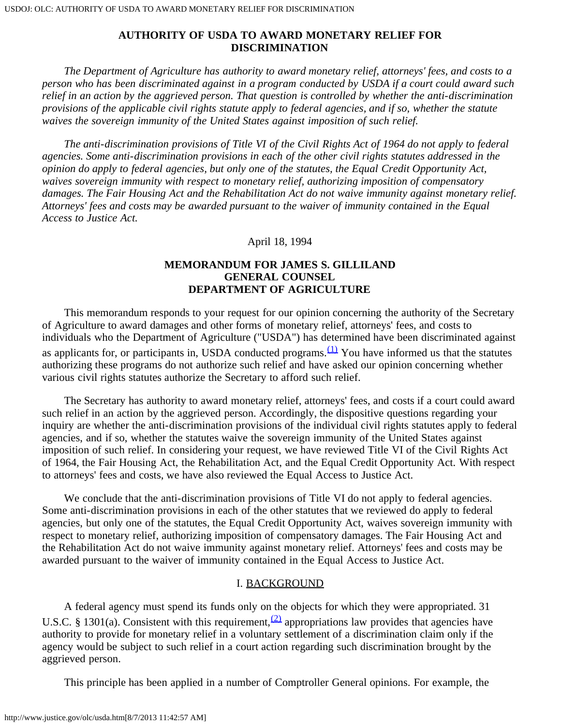*The Department of Agriculture has authority to award monetary relief, attorneys' fees, and costs to a person who has been discriminated against in a program conducted by USDA if a court could award such relief in an action by the aggrieved person. That question is controlled by whether the anti-discrimination provisions of the applicable civil rights statute apply to federal agencies, and if so, whether the statute waives the sovereign immunity of the United States against imposition of such relief.*

 *The anti-discrimination provisions of Title VI of the Civil Rights Act of 1964 do not apply to federal agencies. Some anti-discrimination provisions in each of the other civil rights statutes addressed in the opinion do apply to federal agencies, but only one of the statutes, the Equal Credit Opportunity Act, waives sovereign immunity with respect to monetary relief, authorizing imposition of compensatory damages. The Fair Housing Act and the Rehabilitation Act do not waive immunity against monetary relief. Attorneys' fees and costs may be awarded pursuant to the waiver of immunity contained in the Equal Access to Justice Act.*

## April 18, 1994

# **MEMORANDUM FOR JAMES S. GILLILAND GENERAL COUNSEL DEPARTMENT OF AGRICULTURE**

 This memorandum responds to your request for our opinion concerning the authority of the Secretary of Agriculture to award damages and other forms of monetary relief, attorneys' fees, and costs to individuals who the Department of Agriculture ("USDA") has determined have been discriminated against as applicants for, or participants in, USDA conducted programs.  $(1)$  You have informed us that the statutes authorizing these programs do not authorize such relief and have asked our opinion concerning whether various civil rights statutes authorize the Secretary to afford such relief.

 The Secretary has authority to award monetary relief, attorneys' fees, and costs if a court could award such relief in an action by the aggrieved person. Accordingly, the dispositive questions regarding your inquiry are whether the anti-discrimination provisions of the individual civil rights statutes apply to federal agencies, and if so, whether the statutes waive the sovereign immunity of the United States against imposition of such relief. In considering your request, we have reviewed Title VI of the Civil Rights Act of 1964, the Fair Housing Act, the Rehabilitation Act, and the Equal Credit Opportunity Act. With respect to attorneys' fees and costs, we have also reviewed the Equal Access to Justice Act.

We conclude that the anti-discrimination provisions of Title VI do not apply to federal agencies. Some anti-discrimination provisions in each of the other statutes that we reviewed do apply to federal agencies, but only one of the statutes, the Equal Credit Opportunity Act, waives sovereign immunity with respect to monetary relief, authorizing imposition of compensatory damages. The Fair Housing Act and the Rehabilitation Act do not waive immunity against monetary relief. Attorneys' fees and costs may be awarded pursuant to the waiver of immunity contained in the Equal Access to Justice Act.

## I. BACKGROUND

 A federal agency must spend its funds only on the objects for which they were appropriated. 31 U.S.C. § 1301(a). Consistent with this requirement,  $\frac{2}{2}$  appropriations law provides that agencies have authority to provide for monetary relief in a voluntary settlement of a discrimination claim only if the agency would be subject to such relief in a court action regarding such discrimination brought by the aggrieved person.

This principle has been applied in a number of Comptroller General opinions. For example, the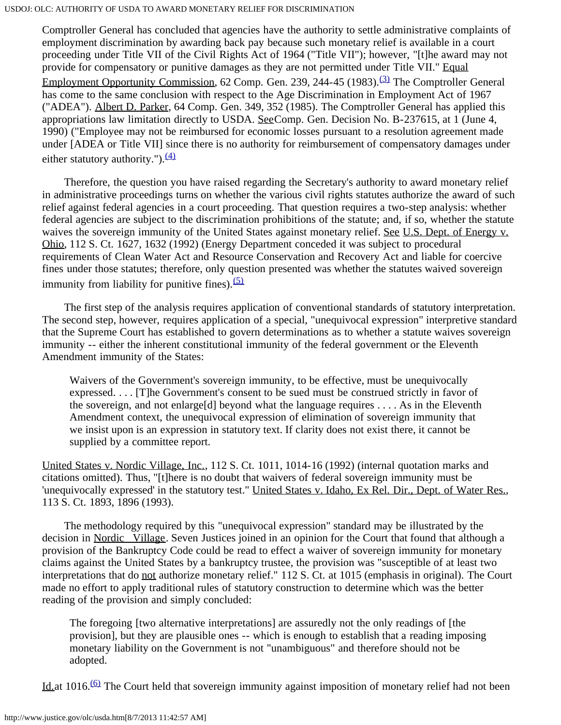Comptroller General has concluded that agencies have the authority to settle administrative complaints of employment discrimination by awarding back pay because such monetary relief is available in a court proceeding under Title VII of the Civil Rights Act of 1964 ("Title VII"); however, "[t]he award may not provide for compensatory or punitive damages as they are not permitted under Title VII." Equal Employment Opportunity Commission, 62 Comp. Gen. 239, 244-45 (1983).<sup>[\(3\)](#page-12-2)</sup> The Comptroller General has come to the same conclusion with respect to the Age Discrimination in Employment Act of 1967 ("ADEA"). Albert D. Parker, 64 Comp. Gen. 349, 352 (1985). The Comptroller General has applied this appropriations law limitation directly to USDA. SeeComp. Gen. Decision No. B-237615, at 1 (June 4, 1990) ("Employee may not be reimbursed for economic losses pursuant to a resolution agreement made under [ADEA or Title VII] since there is no authority for reimbursement of compensatory damages under either statutory authority."). $\frac{(4)}{4}$  $\frac{(4)}{4}$  $\frac{(4)}{4}$ 

 Therefore, the question you have raised regarding the Secretary's authority to award monetary relief in administrative proceedings turns on whether the various civil rights statutes authorize the award of such relief against federal agencies in a court proceeding. That question requires a two-step analysis: whether federal agencies are subject to the discrimination prohibitions of the statute; and, if so, whether the statute waives the sovereign immunity of the United States against monetary relief. See U.S. Dept. of Energy v. Ohio, 112 S. Ct. 1627, 1632 (1992) (Energy Department conceded it was subject to procedural requirements of Clean Water Act and Resource Conservation and Recovery Act and liable for coercive fines under those statutes; therefore, only question presented was whether the statutes waived sovereign immunity from liability for punitive fines). $(5)$ 

 The first step of the analysis requires application of conventional standards of statutory interpretation. The second step, however, requires application of a special, "unequivocal expression" interpretive standard that the Supreme Court has established to govern determinations as to whether a statute waives sovereign immunity -- either the inherent constitutional immunity of the federal government or the Eleventh Amendment immunity of the States:

Waivers of the Government's sovereign immunity, to be effective, must be unequivocally expressed. . . . [T]he Government's consent to be sued must be construed strictly in favor of the sovereign, and not enlarge [d] beyond what the language requires  $\dots$ . As in the Eleventh Amendment context, the unequivocal expression of elimination of sovereign immunity that we insist upon is an expression in statutory text. If clarity does not exist there, it cannot be supplied by a committee report.

United States v. Nordic Village, Inc., 112 S. Ct. 1011, 1014-16 (1992) (internal quotation marks and citations omitted). Thus, "[t]here is no doubt that waivers of federal sovereign immunity must be 'unequivocally expressed' in the statutory test." United States v. Idaho, Ex Rel. Dir., Dept. of Water Res., 113 S. Ct. 1893, 1896 (1993).

 The methodology required by this "unequivocal expression" standard may be illustrated by the decision in Nordic Village. Seven Justices joined in an opinion for the Court that found that although a provision of the Bankruptcy Code could be read to effect a waiver of sovereign immunity for monetary claims against the United States by a bankruptcy trustee, the provision was "susceptible of at least two interpretations that do not authorize monetary relief." 112 S. Ct. at 1015 (emphasis in original). The Court made no effort to apply traditional rules of statutory construction to determine which was the better reading of the provision and simply concluded:

The foregoing [two alternative interpretations] are assuredly not the only readings of [the provision], but they are plausible ones -- which is enough to establish that a reading imposing monetary liability on the Government is not "unambiguous" and therefore should not be adopted.

Id.at 1016.<sup>(6)</sup> The Court held that sovereign immunity against imposition of monetary relief had not been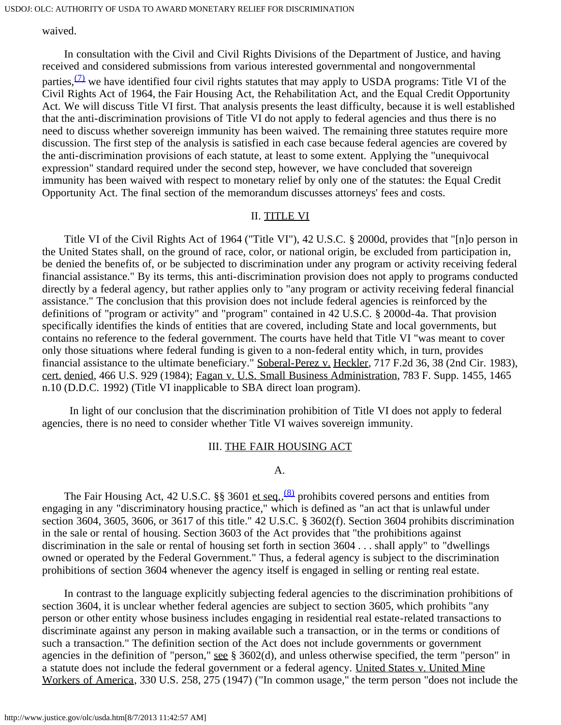waived.

 In consultation with the Civil and Civil Rights Divisions of the Department of Justice, and having received and considered submissions from various interested governmental and nongovernmental

parties,  $\frac{1}{2}$  we have identified four civil rights statutes that may apply to USDA programs: Title VI of the Civil Rights Act of 1964, the Fair Housing Act, the Rehabilitation Act, and the Equal Credit Opportunity Act. We will discuss Title VI first. That analysis presents the least difficulty, because it is well established that the anti-discrimination provisions of Title VI do not apply to federal agencies and thus there is no need to discuss whether sovereign immunity has been waived. The remaining three statutes require more discussion. The first step of the analysis is satisfied in each case because federal agencies are covered by the anti-discrimination provisions of each statute, at least to some extent. Applying the "unequivocal expression" standard required under the second step, however, we have concluded that sovereign immunity has been waived with respect to monetary relief by only one of the statutes: the Equal Credit Opportunity Act. The final section of the memorandum discusses attorneys' fees and costs.

## II. TITLE VI

 Title VI of the Civil Rights Act of 1964 ("Title VI"), 42 U.S.C. § 2000d, provides that "[n]o person in the United States shall, on the ground of race, color, or national origin, be excluded from participation in, be denied the benefits of, or be subjected to discrimination under any program or activity receiving federal financial assistance." By its terms, this anti-discrimination provision does not apply to programs conducted directly by a federal agency, but rather applies only to "any program or activity receiving federal financial assistance." The conclusion that this provision does not include federal agencies is reinforced by the definitions of "program or activity" and "program" contained in 42 U.S.C. § 2000d-4a. That provision specifically identifies the kinds of entities that are covered, including State and local governments, but contains no reference to the federal government. The courts have held that Title VI "was meant to cover only those situations where federal funding is given to a non-federal entity which, in turn, provides financial assistance to the ultimate beneficiary." Soberal-Perez v. Heckler, 717 F.2d 36, 38 (2nd Cir. 1983), cert. denied, 466 U.S. 929 (1984); Fagan v. U.S. Small Business Administration, 783 F. Supp. 1455, 1465 n.10 (D.D.C. 1992) (Title VI inapplicable to SBA direct loan program).

 In light of our conclusion that the discrimination prohibition of Title VI does not apply to federal agencies, there is no need to consider whether Title VI waives sovereign immunity.

### III. THE FAIR HOUSING ACT

A.

The Fair Housing Act, 42 U.S.C. §§ 3601 et seq.,<sup>[\(8\)](#page-13-0)</sup> prohibits covered persons and entities from engaging in any "discriminatory housing practice," which is defined as "an act that is unlawful under section 3604, 3605, 3606, or 3617 of this title." 42 U.S.C. § 3602(f). Section 3604 prohibits discrimination in the sale or rental of housing. Section 3603 of the Act provides that "the prohibitions against discrimination in the sale or rental of housing set forth in section 3604 . . . shall apply" to "dwellings owned or operated by the Federal Government." Thus, a federal agency is subject to the discrimination prohibitions of section 3604 whenever the agency itself is engaged in selling or renting real estate.

 In contrast to the language explicitly subjecting federal agencies to the discrimination prohibitions of section 3604, it is unclear whether federal agencies are subject to section 3605, which prohibits "any person or other entity whose business includes engaging in residential real estate-related transactions to discriminate against any person in making available such a transaction, or in the terms or conditions of such a transaction." The definition section of the Act does not include governments or government agencies in the definition of "person," see § 3602(d), and unless otherwise specified, the term "person" in a statute does not include the federal government or a federal agency. United States v. United Mine Workers of America, 330 U.S. 258, 275 (1947) ("In common usage," the term person "does not include the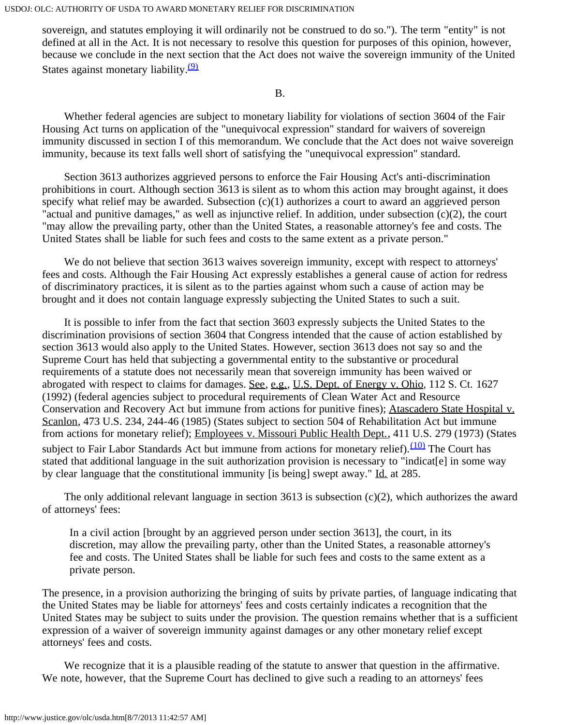sovereign, and statutes employing it will ordinarily not be construed to do so."). The term "entity" is not defined at all in the Act. It is not necessary to resolve this question for purposes of this opinion, however, because we conclude in the next section that the Act does not waive the sovereign immunity of the United States against monetary liability. $\frac{9}{2}$ 

B.

 Whether federal agencies are subject to monetary liability for violations of section 3604 of the Fair Housing Act turns on application of the "unequivocal expression" standard for waivers of sovereign immunity discussed in section I of this memorandum. We conclude that the Act does not waive sovereign immunity, because its text falls well short of satisfying the "unequivocal expression" standard.

 Section 3613 authorizes aggrieved persons to enforce the Fair Housing Act's anti-discrimination prohibitions in court. Although section 3613 is silent as to whom this action may brought against, it does specify what relief may be awarded. Subsection (c)(1) authorizes a court to award an aggrieved person "actual and punitive damages," as well as injunctive relief. In addition, under subsection (c)(2), the court "may allow the prevailing party, other than the United States, a reasonable attorney's fee and costs. The United States shall be liable for such fees and costs to the same extent as a private person."

We do not believe that section 3613 waives sovereign immunity, except with respect to attorneys' fees and costs. Although the Fair Housing Act expressly establishes a general cause of action for redress of discriminatory practices, it is silent as to the parties against whom such a cause of action may be brought and it does not contain language expressly subjecting the United States to such a suit.

 It is possible to infer from the fact that section 3603 expressly subjects the United States to the discrimination provisions of section 3604 that Congress intended that the cause of action established by section 3613 would also apply to the United States. However, section 3613 does not say so and the Supreme Court has held that subjecting a governmental entity to the substantive or procedural requirements of a statute does not necessarily mean that sovereign immunity has been waived or abrogated with respect to claims for damages. See, e.g., U.S. Dept. of Energy v. Ohio, 112 S. Ct. 1627 (1992) (federal agencies subject to procedural requirements of Clean Water Act and Resource Conservation and Recovery Act but immune from actions for punitive fines); Atascadero State Hospital v. Scanlon, 473 U.S. 234, 244-46 (1985) (States subject to section 504 of Rehabilitation Act but immune from actions for monetary relief); Employees v. Missouri Public Health Dept., 411 U.S. 279 (1973) (States subject to Fair Labor Standards Act but immune from actions for monetary relief).<sup>(10)</sup> The Court has stated that additional language in the suit authorization provision is necessary to "indicat[e] in some way by clear language that the constitutional immunity [is being] swept away." Id. at 285.

The only additional relevant language in section 3613 is subsection  $(c)(2)$ , which authorizes the award of attorneys' fees:

In a civil action [brought by an aggrieved person under section 3613], the court, in its discretion, may allow the prevailing party, other than the United States, a reasonable attorney's fee and costs. The United States shall be liable for such fees and costs to the same extent as a private person.

The presence, in a provision authorizing the bringing of suits by private parties, of language indicating that the United States may be liable for attorneys' fees and costs certainly indicates a recognition that the United States may be subject to suits under the provision. The question remains whether that is a sufficient expression of a waiver of sovereign immunity against damages or any other monetary relief except attorneys' fees and costs.

 We recognize that it is a plausible reading of the statute to answer that question in the affirmative. We note, however, that the Supreme Court has declined to give such a reading to an attorneys' fees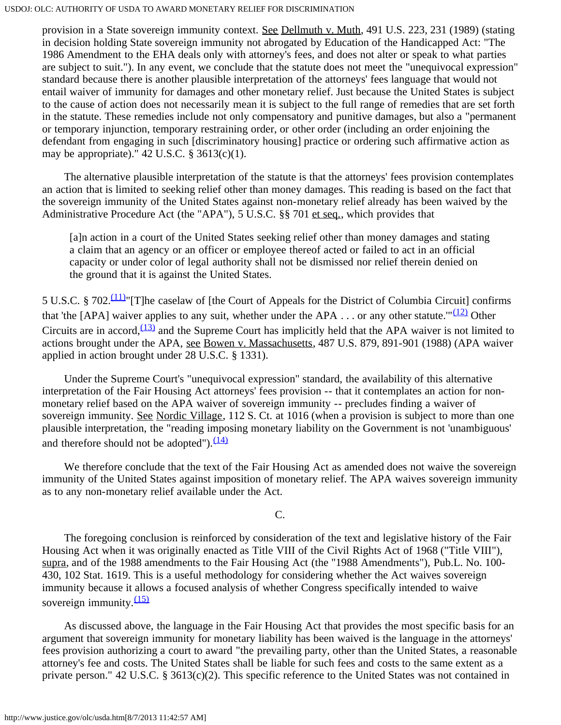provision in a State sovereign immunity context. See Dellmuth v. Muth, 491 U.S. 223, 231 (1989) (stating in decision holding State sovereign immunity not abrogated by Education of the Handicapped Act: "The 1986 Amendment to the EHA deals only with attorney's fees, and does not alter or speak to what parties are subject to suit."). In any event, we conclude that the statute does not meet the "unequivocal expression" standard because there is another plausible interpretation of the attorneys' fees language that would not entail waiver of immunity for damages and other monetary relief. Just because the United States is subject to the cause of action does not necessarily mean it is subject to the full range of remedies that are set forth in the statute. These remedies include not only compensatory and punitive damages, but also a "permanent or temporary injunction, temporary restraining order, or other order (including an order enjoining the defendant from engaging in such [discriminatory housing] practice or ordering such affirmative action as may be appropriate)."  $42 \text{ U.S.C. }$  §  $3613(c)(1)$ .

 The alternative plausible interpretation of the statute is that the attorneys' fees provision contemplates an action that is limited to seeking relief other than money damages. This reading is based on the fact that the sovereign immunity of the United States against non-monetary relief already has been waived by the Administrative Procedure Act (the "APA"), 5 U.S.C. §§ 701 et seq., which provides that

[a]n action in a court of the United States seeking relief other than money damages and stating a claim that an agency or an officer or employee thereof acted or failed to act in an official capacity or under color of legal authority shall not be dismissed nor relief therein denied on the ground that it is against the United States.

5 U.S.C. § 702[.\(11\)"](#page-13-3)[T]he caselaw of [the Court of Appeals for the District of Columbia Circuit] confirms that 'the [APA] waiver applies to any suit, whether under the APA . . . or any other statute."<sup>(12)</sup> Other Circuits are in accord,  $(13)$  and the Supreme Court has implicitly held that the APA waiver is not limited to actions brought under the APA, see Bowen v. Massachusetts, 487 U.S. 879, 891-901 (1988) (APA waiver applied in action brought under 28 U.S.C. § 1331).

 Under the Supreme Court's "unequivocal expression" standard, the availability of this alternative interpretation of the Fair Housing Act attorneys' fees provision -- that it contemplates an action for nonmonetary relief based on the APA waiver of sovereign immunity -- precludes finding a waiver of sovereign immunity. See Nordic Village, 112 S. Ct. at 1016 (when a provision is subject to more than one plausible interpretation, the "reading imposing monetary liability on the Government is not 'unambiguous' and therefore should not be adopted"). $\frac{(14)}{14}$  $\frac{(14)}{14}$  $\frac{(14)}{14}$ 

 We therefore conclude that the text of the Fair Housing Act as amended does not waive the sovereign immunity of the United States against imposition of monetary relief. The APA waives sovereign immunity as to any non-monetary relief available under the Act.

C.

 The foregoing conclusion is reinforced by consideration of the text and legislative history of the Fair Housing Act when it was originally enacted as Title VIII of the Civil Rights Act of 1968 ("Title VIII"), supra, and of the 1988 amendments to the Fair Housing Act (the "1988 Amendments"), Pub.L. No. 100- 430, 102 Stat. 1619. This is a useful methodology for considering whether the Act waives sovereign immunity because it allows a focused analysis of whether Congress specifically intended to waive sovereign immunity. $\frac{(15)}{2}$  $\frac{(15)}{2}$  $\frac{(15)}{2}$ 

 As discussed above, the language in the Fair Housing Act that provides the most specific basis for an argument that sovereign immunity for monetary liability has been waived is the language in the attorneys' fees provision authorizing a court to award "the prevailing party, other than the United States, a reasonable attorney's fee and costs. The United States shall be liable for such fees and costs to the same extent as a private person." 42 U.S.C. § 3613(c)(2). This specific reference to the United States was not contained in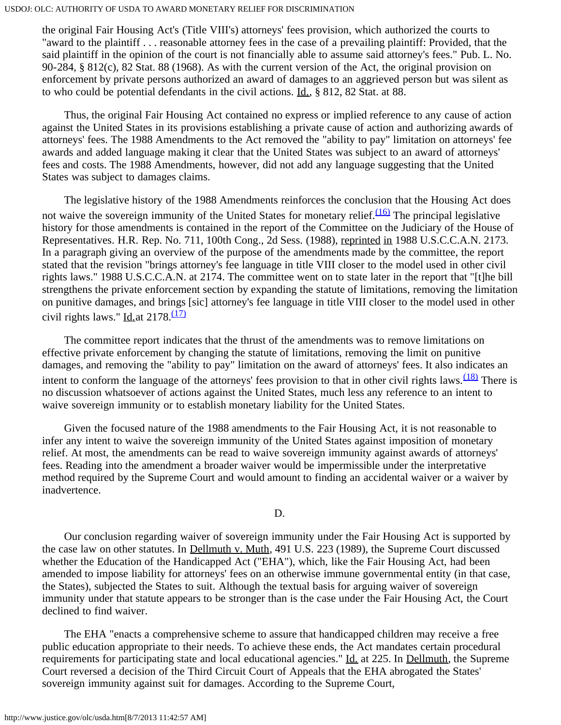the original Fair Housing Act's (Title VIII's) attorneys' fees provision, which authorized the courts to "award to the plaintiff . . . reasonable attorney fees in the case of a prevailing plaintiff: Provided, that the said plaintiff in the opinion of the court is not financially able to assume said attorney's fees." Pub. L. No. 90-284, § 812(c), 82 Stat. 88 (1968). As with the current version of the Act, the original provision on enforcement by private persons authorized an award of damages to an aggrieved person but was silent as to who could be potential defendants in the civil actions. Id., § 812, 82 Stat. at 88.

 Thus, the original Fair Housing Act contained no express or implied reference to any cause of action against the United States in its provisions establishing a private cause of action and authorizing awards of attorneys' fees. The 1988 Amendments to the Act removed the "ability to pay" limitation on attorneys' fee awards and added language making it clear that the United States was subject to an award of attorneys' fees and costs. The 1988 Amendments, however, did not add any language suggesting that the United States was subject to damages claims.

 The legislative history of the 1988 Amendments reinforces the conclusion that the Housing Act does not waive the sovereign immunity of the United States for monetary relief. $\frac{(16)}{(16)}$  The principal legislative history for those amendments is contained in the report of the Committee on the Judiciary of the House of Representatives. H.R. Rep. No. 711, 100th Cong., 2d Sess. (1988), reprinted in 1988 U.S.C.C.A.N. 2173. In a paragraph giving an overview of the purpose of the amendments made by the committee, the report stated that the revision "brings attorney's fee language in title VIII closer to the model used in other civil rights laws." 1988 U.S.C.C.A.N. at 2174. The committee went on to state later in the report that "[t]he bill strengthens the private enforcement section by expanding the statute of limitations, removing the limitation on punitive damages, and brings [sic] attorney's fee language in title VIII closer to the model used in other civil rights laws." Id. at  $2178.\frac{(17)}{17}$  $2178.\frac{(17)}{17}$  $2178.\frac{(17)}{17}$ 

 The committee report indicates that the thrust of the amendments was to remove limitations on effective private enforcement by changing the statute of limitations, removing the limit on punitive damages, and removing the "ability to pay" limitation on the award of attorneys' fees. It also indicates an intent to conform the language of the attorneys' fees provision to that in other civil rights laws.  $\frac{(18)}{180}$  There is no discussion whatsoever of actions against the United States, much less any reference to an intent to waive sovereign immunity or to establish monetary liability for the United States.

 Given the focused nature of the 1988 amendments to the Fair Housing Act, it is not reasonable to infer any intent to waive the sovereign immunity of the United States against imposition of monetary relief. At most, the amendments can be read to waive sovereign immunity against awards of attorneys' fees. Reading into the amendment a broader waiver would be impermissible under the interpretative method required by the Supreme Court and would amount to finding an accidental waiver or a waiver by inadvertence.

D.

 Our conclusion regarding waiver of sovereign immunity under the Fair Housing Act is supported by the case law on other statutes. In Dellmuth v. Muth, 491 U.S. 223 (1989), the Supreme Court discussed whether the Education of the Handicapped Act ("EHA"), which, like the Fair Housing Act, had been amended to impose liability for attorneys' fees on an otherwise immune governmental entity (in that case, the States), subjected the States to suit. Although the textual basis for arguing waiver of sovereign immunity under that statute appears to be stronger than is the case under the Fair Housing Act, the Court declined to find waiver.

 The EHA "enacts a comprehensive scheme to assure that handicapped children may receive a free public education appropriate to their needs. To achieve these ends, the Act mandates certain procedural requirements for participating state and local educational agencies." Id. at 225. In Dellmuth, the Supreme Court reversed a decision of the Third Circuit Court of Appeals that the EHA abrogated the States' sovereign immunity against suit for damages. According to the Supreme Court,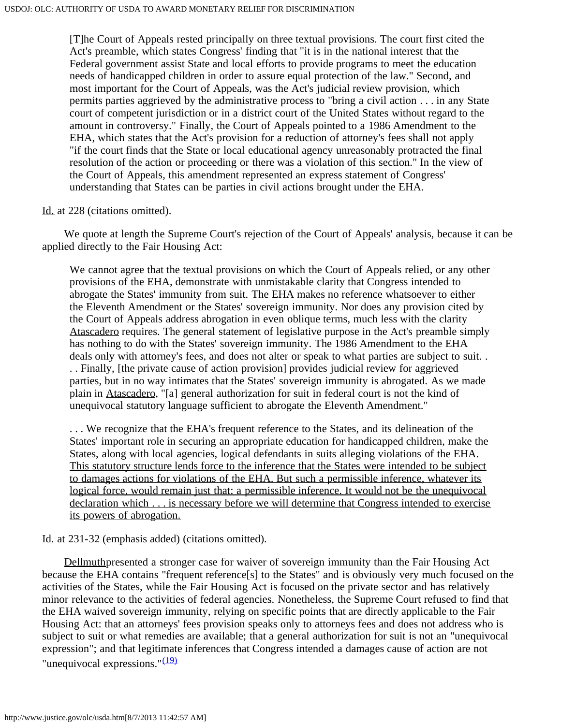[T]he Court of Appeals rested principally on three textual provisions. The court first cited the Act's preamble, which states Congress' finding that "it is in the national interest that the Federal government assist State and local efforts to provide programs to meet the education needs of handicapped children in order to assure equal protection of the law." Second, and most important for the Court of Appeals, was the Act's judicial review provision, which permits parties aggrieved by the administrative process to "bring a civil action . . . in any State court of competent jurisdiction or in a district court of the United States without regard to the amount in controversy." Finally, the Court of Appeals pointed to a 1986 Amendment to the EHA, which states that the Act's provision for a reduction of attorney's fees shall not apply "if the court finds that the State or local educational agency unreasonably protracted the final resolution of the action or proceeding or there was a violation of this section." In the view of the Court of Appeals, this amendment represented an express statement of Congress' understanding that States can be parties in civil actions brought under the EHA.

## Id. at 228 (citations omitted).

 We quote at length the Supreme Court's rejection of the Court of Appeals' analysis, because it can be applied directly to the Fair Housing Act:

We cannot agree that the textual provisions on which the Court of Appeals relied, or any other provisions of the EHA, demonstrate with unmistakable clarity that Congress intended to abrogate the States' immunity from suit. The EHA makes no reference whatsoever to either the Eleventh Amendment or the States' sovereign immunity. Nor does any provision cited by the Court of Appeals address abrogation in even oblique terms, much less with the clarity Atascadero requires. The general statement of legislative purpose in the Act's preamble simply has nothing to do with the States' sovereign immunity. The 1986 Amendment to the EHA deals only with attorney's fees, and does not alter or speak to what parties are subject to suit. . . . Finally, [the private cause of action provision] provides judicial review for aggrieved parties, but in no way intimates that the States' sovereign immunity is abrogated. As we made plain in Atascadero, "[a] general authorization for suit in federal court is not the kind of unequivocal statutory language sufficient to abrogate the Eleventh Amendment."

. . . We recognize that the EHA's frequent reference to the States, and its delineation of the States' important role in securing an appropriate education for handicapped children, make the States, along with local agencies, logical defendants in suits alleging violations of the EHA. This statutory structure lends force to the inference that the States were intended to be subject to damages actions for violations of the EHA. But such a permissible inference, whatever its logical force, would remain just that: a permissible inference. It would not be the unequivocal declaration which . . . is necessary before we will determine that Congress intended to exercise its powers of abrogation.

Id. at 231-32 (emphasis added) (citations omitted).

 Dellmuthpresented a stronger case for waiver of sovereign immunity than the Fair Housing Act because the EHA contains "frequent reference[s] to the States" and is obviously very much focused on the activities of the States, while the Fair Housing Act is focused on the private sector and has relatively minor relevance to the activities of federal agencies. Nonetheless, the Supreme Court refused to find that the EHA waived sovereign immunity, relying on specific points that are directly applicable to the Fair Housing Act: that an attorneys' fees provision speaks only to attorneys fees and does not address who is subject to suit or what remedies are available; that a general authorization for suit is not an "unequivocal expression"; and that legitimate inferences that Congress intended a damages cause of action are not "unequivocal expressions." $(19)$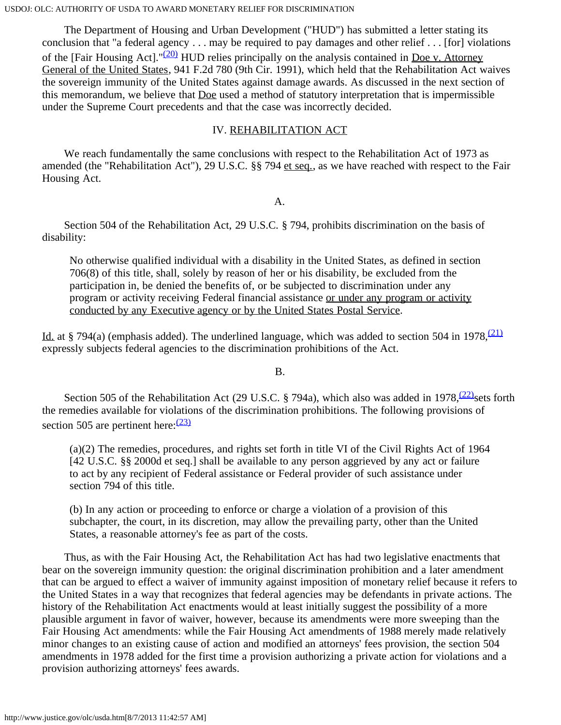The Department of Housing and Urban Development ("HUD") has submitted a letter stating its conclusion that "a federal agency . . . may be required to pay damages and other relief . . . [for] violations of the [Fair Housing Act]." $(20)$  HUD relies principally on the analysis contained in Doe v. Attorney General of the United States, 941 F.2d 780 (9th Cir. 1991), which held that the Rehabilitation Act waives the sovereign immunity of the United States against damage awards. As discussed in the next section of this memorandum, we believe that Doe used a method of statutory interpretation that is impermissible under the Supreme Court precedents and that the case was incorrectly decided.

# IV. REHABILITATION ACT

We reach fundamentally the same conclusions with respect to the Rehabilitation Act of 1973 as amended (the "Rehabilitation Act"), 29 U.S.C. §§ 794 et seq., as we have reached with respect to the Fair Housing Act.

A.

 Section 504 of the Rehabilitation Act, 29 U.S.C. § 794, prohibits discrimination on the basis of disability:

No otherwise qualified individual with a disability in the United States, as defined in section 706(8) of this title, shall, solely by reason of her or his disability, be excluded from the participation in, be denied the benefits of, or be subjected to discrimination under any program or activity receiving Federal financial assistance or under any program or activity conducted by any Executive agency or by the United States Postal Service.

Id. at § 794(a) (emphasis added). The underlined language, which was added to section 504 in 1978,<sup>[\(21\)](#page-14-6)</sup> expressly subjects federal agencies to the discrimination prohibitions of the Act.

B.

Section 505 of the Rehabilitation Act (29 U.S.C. § 794a), which also was added in 1978,  $(22)$  sets forth the remedies available for violations of the discrimination prohibitions. The following provisions of section 505 are pertinent here:  $\frac{(23)}{2}$  $\frac{(23)}{2}$  $\frac{(23)}{2}$ 

(a)(2) The remedies, procedures, and rights set forth in title VI of the Civil Rights Act of 1964 [42 U.S.C. §§ 2000d et seq.] shall be available to any person aggrieved by any act or failure to act by any recipient of Federal assistance or Federal provider of such assistance under section 794 of this title.

(b) In any action or proceeding to enforce or charge a violation of a provision of this subchapter, the court, in its discretion, may allow the prevailing party, other than the United States, a reasonable attorney's fee as part of the costs.

 Thus, as with the Fair Housing Act, the Rehabilitation Act has had two legislative enactments that bear on the sovereign immunity question: the original discrimination prohibition and a later amendment that can be argued to effect a waiver of immunity against imposition of monetary relief because it refers to the United States in a way that recognizes that federal agencies may be defendants in private actions. The history of the Rehabilitation Act enactments would at least initially suggest the possibility of a more plausible argument in favor of waiver, however, because its amendments were more sweeping than the Fair Housing Act amendments: while the Fair Housing Act amendments of 1988 merely made relatively minor changes to an existing cause of action and modified an attorneys' fees provision, the section 504 amendments in 1978 added for the first time a provision authorizing a private action for violations and a provision authorizing attorneys' fees awards.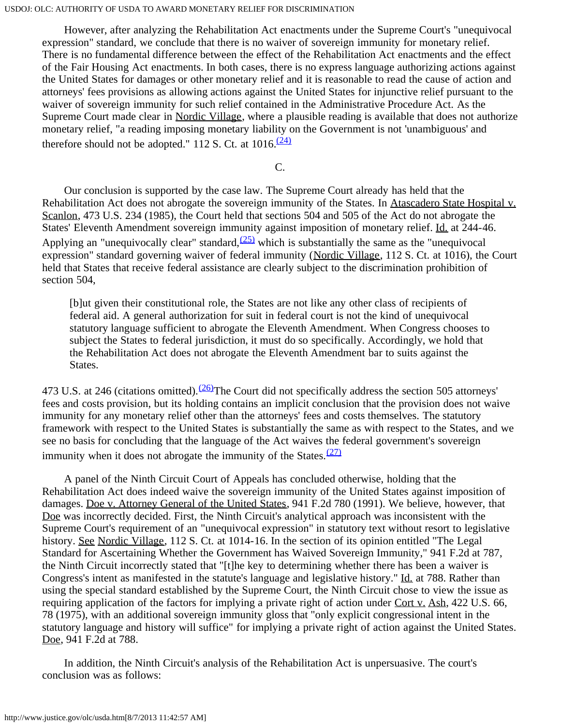However, after analyzing the Rehabilitation Act enactments under the Supreme Court's "unequivocal expression" standard, we conclude that there is no waiver of sovereign immunity for monetary relief. There is no fundamental difference between the effect of the Rehabilitation Act enactments and the effect of the Fair Housing Act enactments. In both cases, there is no express language authorizing actions against the United States for damages or other monetary relief and it is reasonable to read the cause of action and attorneys' fees provisions as allowing actions against the United States for injunctive relief pursuant to the waiver of sovereign immunity for such relief contained in the Administrative Procedure Act. As the Supreme Court made clear in Nordic Village, where a plausible reading is available that does not authorize monetary relief, "a reading imposing monetary liability on the Government is not 'unambiguous' and therefore should not be adopted." 112 S. Ct. at  $1016$ .<sup>[\(24\)](#page-15-2)</sup>

C.

 Our conclusion is supported by the case law. The Supreme Court already has held that the Rehabilitation Act does not abrogate the sovereign immunity of the States. In Atascadero State Hospital v. Scanlon, 473 U.S. 234 (1985), the Court held that sections 504 and 505 of the Act do not abrogate the States' Eleventh Amendment sovereign immunity against imposition of monetary relief. Id. at 244-46. Applying an "unequivocally clear" standard,  $(25)$  which is substantially the same as the "unequivocal expression" standard governing waiver of federal immunity (Nordic Village, 112 S. Ct. at 1016), the Court held that States that receive federal assistance are clearly subject to the discrimination prohibition of section 504,

[b]ut given their constitutional role, the States are not like any other class of recipients of federal aid. A general authorization for suit in federal court is not the kind of unequivocal statutory language sufficient to abrogate the Eleventh Amendment. When Congress chooses to subject the States to federal jurisdiction, it must do so specifically. Accordingly, we hold that the Rehabilitation Act does not abrogate the Eleventh Amendment bar to suits against the States.

473 U.S. at 246 (citations omitted).  $\frac{(26)}{7}$ The Court did not specifically address the section 505 attorneys' fees and costs provision, but its holding contains an implicit conclusion that the provision does not waive immunity for any monetary relief other than the attorneys' fees and costs themselves. The statutory framework with respect to the United States is substantially the same as with respect to the States, and we see no basis for concluding that the language of the Act waives the federal government's sovereign immunity when it does not abrogate the immunity of the States. $(27)$ 

 A panel of the Ninth Circuit Court of Appeals has concluded otherwise, holding that the Rehabilitation Act does indeed waive the sovereign immunity of the United States against imposition of damages. Doe v. Attorney General of the United States, 941 F.2d 780 (1991). We believe, however, that Doe was incorrectly decided. First, the Ninth Circuit's analytical approach was inconsistent with the Supreme Court's requirement of an "unequivocal expression" in statutory text without resort to legislative history. See Nordic Village, 112 S. Ct. at 1014-16. In the section of its opinion entitled "The Legal Standard for Ascertaining Whether the Government has Waived Sovereign Immunity," 941 F.2d at 787, the Ninth Circuit incorrectly stated that "[t]he key to determining whether there has been a waiver is Congress's intent as manifested in the statute's language and legislative history." Id. at 788. Rather than using the special standard established by the Supreme Court, the Ninth Circuit chose to view the issue as requiring application of the factors for implying a private right of action under Cort v. Ash, 422 U.S. 66, 78 (1975), with an additional sovereign immunity gloss that "only explicit congressional intent in the statutory language and history will suffice" for implying a private right of action against the United States. Doe, 941 F.2d at 788.

 In addition, the Ninth Circuit's analysis of the Rehabilitation Act is unpersuasive. The court's conclusion was as follows: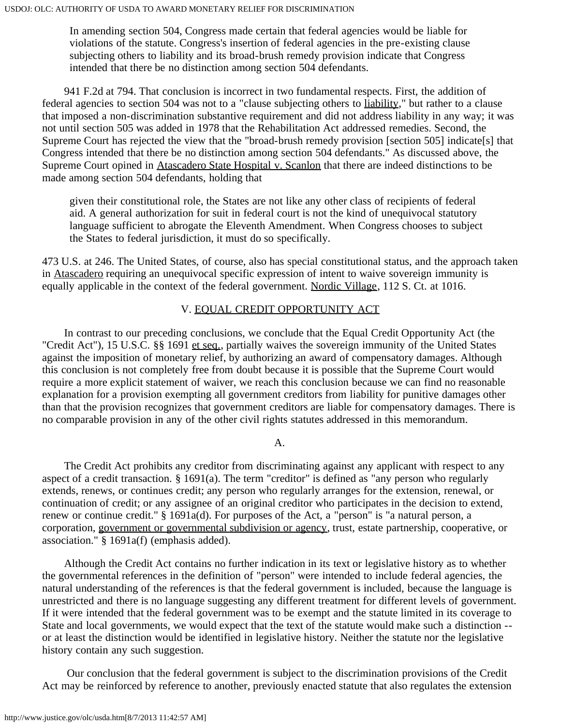In amending section 504, Congress made certain that federal agencies would be liable for violations of the statute. Congress's insertion of federal agencies in the pre-existing clause subjecting others to liability and its broad-brush remedy provision indicate that Congress intended that there be no distinction among section 504 defendants.

 941 F.2d at 794. That conclusion is incorrect in two fundamental respects. First, the addition of federal agencies to section 504 was not to a "clause subjecting others to liability," but rather to a clause that imposed a non-discrimination substantive requirement and did not address liability in any way; it was not until section 505 was added in 1978 that the Rehabilitation Act addressed remedies. Second, the Supreme Court has rejected the view that the "broad-brush remedy provision [section 505] indicate[s] that Congress intended that there be no distinction among section 504 defendants." As discussed above, the Supreme Court opined in Atascadero State Hospital v. Scanlon that there are indeed distinctions to be made among section 504 defendants, holding that

given their constitutional role, the States are not like any other class of recipients of federal aid. A general authorization for suit in federal court is not the kind of unequivocal statutory language sufficient to abrogate the Eleventh Amendment. When Congress chooses to subject the States to federal jurisdiction, it must do so specifically.

473 U.S. at 246. The United States, of course, also has special constitutional status, and the approach taken in Atascadero requiring an unequivocal specific expression of intent to waive sovereign immunity is equally applicable in the context of the federal government. Nordic Village, 112 S. Ct. at 1016.

# V. EQUAL CREDIT OPPORTUNITY ACT

 In contrast to our preceding conclusions, we conclude that the Equal Credit Opportunity Act (the "Credit Act"), 15 U.S.C. §§ 1691 et seq., partially waives the sovereign immunity of the United States against the imposition of monetary relief, by authorizing an award of compensatory damages. Although this conclusion is not completely free from doubt because it is possible that the Supreme Court would require a more explicit statement of waiver, we reach this conclusion because we can find no reasonable explanation for a provision exempting all government creditors from liability for punitive damages other than that the provision recognizes that government creditors are liable for compensatory damages. There is no comparable provision in any of the other civil rights statutes addressed in this memorandum.

### A.

 The Credit Act prohibits any creditor from discriminating against any applicant with respect to any aspect of a credit transaction. § 1691(a). The term "creditor" is defined as "any person who regularly extends, renews, or continues credit; any person who regularly arranges for the extension, renewal, or continuation of credit; or any assignee of an original creditor who participates in the decision to extend, renew or continue credit." § 1691a(d). For purposes of the Act, a "person" is "a natural person, a corporation, government or governmental subdivision or agency, trust, estate partnership, cooperative, or association." § 1691a(f) (emphasis added).

 Although the Credit Act contains no further indication in its text or legislative history as to whether the governmental references in the definition of "person" were intended to include federal agencies, the natural understanding of the references is that the federal government is included, because the language is unrestricted and there is no language suggesting any different treatment for different levels of government. If it were intended that the federal government was to be exempt and the statute limited in its coverage to State and local governments, we would expect that the text of the statute would make such a distinction - or at least the distinction would be identified in legislative history. Neither the statute nor the legislative history contain any such suggestion.

 Our conclusion that the federal government is subject to the discrimination provisions of the Credit Act may be reinforced by reference to another, previously enacted statute that also regulates the extension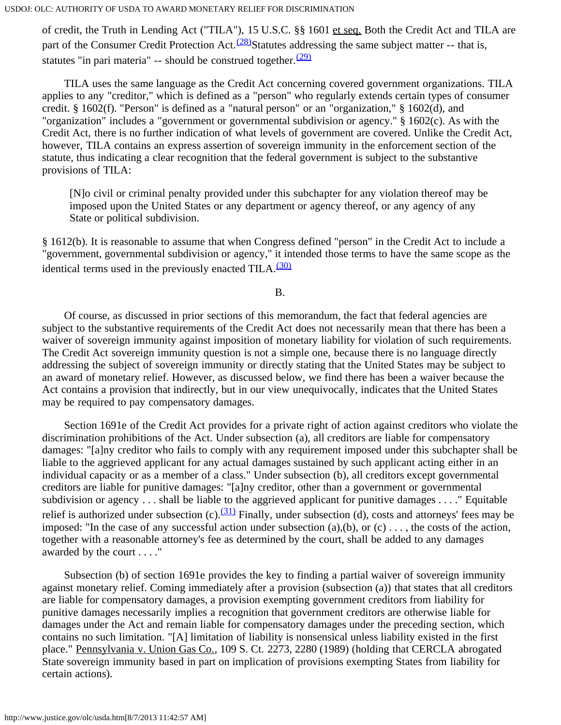of credit, the Truth in Lending Act ("TILA"), 15 U.S.C. §§ 1601 et seq. Both the Credit Act and TILA are part of the Consumer Credit Protection Act.<sup> $(28)$ </sup>Statutes addressing the same subject matter -- that is, statutes "in pari materia" -- should be construed together. $(29)$ 

 TILA uses the same language as the Credit Act concerning covered government organizations. TILA applies to any "creditor," which is defined as a "person" who regularly extends certain types of consumer credit. § 1602(f). "Person" is defined as a "natural person" or an "organization," § 1602(d), and "organization" includes a "government or governmental subdivision or agency." § 1602(c). As with the Credit Act, there is no further indication of what levels of government are covered. Unlike the Credit Act, however, TILA contains an express assertion of sovereign immunity in the enforcement section of the statute, thus indicating a clear recognition that the federal government is subject to the substantive provisions of TILA:

[N]o civil or criminal penalty provided under this subchapter for any violation thereof may be imposed upon the United States or any department or agency thereof, or any agency of any State or political subdivision.

§ 1612(b). It is reasonable to assume that when Congress defined "person" in the Credit Act to include a "government, governmental subdivision or agency," it intended those terms to have the same scope as the identical terms used in the previously enacted TILA. $(30)$ 

B.

 Of course, as discussed in prior sections of this memorandum, the fact that federal agencies are subject to the substantive requirements of the Credit Act does not necessarily mean that there has been a waiver of sovereign immunity against imposition of monetary liability for violation of such requirements. The Credit Act sovereign immunity question is not a simple one, because there is no language directly addressing the subject of sovereign immunity or directly stating that the United States may be subject to an award of monetary relief. However, as discussed below, we find there has been a waiver because the Act contains a provision that indirectly, but in our view unequivocally, indicates that the United States may be required to pay compensatory damages.

 Section 1691e of the Credit Act provides for a private right of action against creditors who violate the discrimination prohibitions of the Act. Under subsection (a), all creditors are liable for compensatory damages: "[a]ny creditor who fails to comply with any requirement imposed under this subchapter shall be liable to the aggrieved applicant for any actual damages sustained by such applicant acting either in an individual capacity or as a member of a class." Under subsection (b), all creditors except governmental creditors are liable for punitive damages: "[a]ny creditor, other than a government or governmental subdivision or agency . . . shall be liable to the aggrieved applicant for punitive damages . . . ." Equitable relief is authorized under subsection (c). $\frac{(31)}{21}$  Finally, under subsection (d), costs and attorneys' fees may be imposed: "In the case of any successful action under subsection  $(a),(b)$ , or  $(c)$ ..., the costs of the action, together with a reasonable attorney's fee as determined by the court, shall be added to any damages awarded by the court . . . ."

 Subsection (b) of section 1691e provides the key to finding a partial waiver of sovereign immunity against monetary relief. Coming immediately after a provision (subsection (a)) that states that all creditors are liable for compensatory damages, a provision exempting government creditors from liability for punitive damages necessarily implies a recognition that government creditors are otherwise liable for damages under the Act and remain liable for compensatory damages under the preceding section, which contains no such limitation. "[A] limitation of liability is nonsensical unless liability existed in the first place." Pennsylvania v. Union Gas Co., 109 S. Ct. 2273, 2280 (1989) (holding that CERCLA abrogated State sovereign immunity based in part on implication of provisions exempting States from liability for certain actions).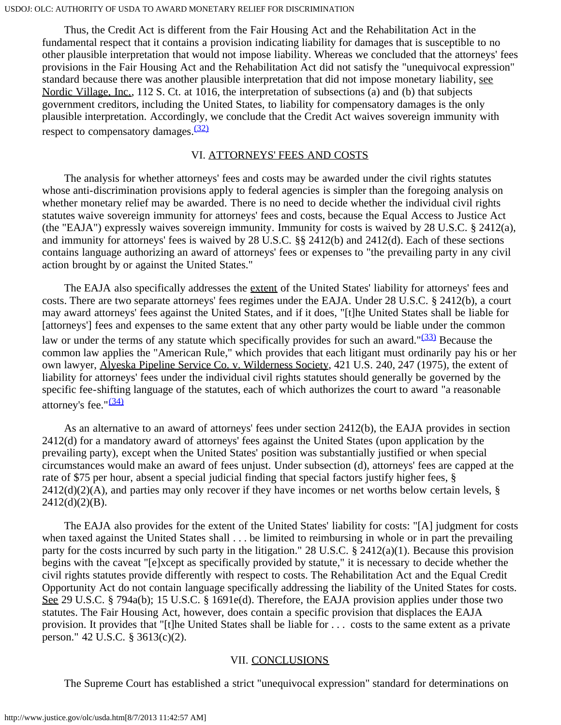Thus, the Credit Act is different from the Fair Housing Act and the Rehabilitation Act in the fundamental respect that it contains a provision indicating liability for damages that is susceptible to no other plausible interpretation that would not impose liability. Whereas we concluded that the attorneys' fees provisions in the Fair Housing Act and the Rehabilitation Act did not satisfy the "unequivocal expression" standard because there was another plausible interpretation that did not impose monetary liability, see Nordic Village, Inc., 112 S. Ct. at 1016, the interpretation of subsections (a) and (b) that subjects government creditors, including the United States, to liability for compensatory damages is the only plausible interpretation. Accordingly, we conclude that the Credit Act waives sovereign immunity with respect to compensatory damages. $\frac{(32)}{2}$  $\frac{(32)}{2}$  $\frac{(32)}{2}$ 

### VI. ATTORNEYS' FEES AND COSTS

 The analysis for whether attorneys' fees and costs may be awarded under the civil rights statutes whose anti-discrimination provisions apply to federal agencies is simpler than the foregoing analysis on whether monetary relief may be awarded. There is no need to decide whether the individual civil rights statutes waive sovereign immunity for attorneys' fees and costs, because the Equal Access to Justice Act (the "EAJA") expressly waives sovereign immunity. Immunity for costs is waived by 28 U.S.C. § 2412(a), and immunity for attorneys' fees is waived by 28 U.S.C. §§ 2412(b) and 2412(d). Each of these sections contains language authorizing an award of attorneys' fees or expenses to "the prevailing party in any civil action brought by or against the United States."

 The EAJA also specifically addresses the extent of the United States' liability for attorneys' fees and costs. There are two separate attorneys' fees regimes under the EAJA. Under 28 U.S.C. § 2412(b), a court may award attorneys' fees against the United States, and if it does, "[t]he United States shall be liable for [attorneys'] fees and expenses to the same extent that any other party would be liable under the common law or under the terms of any statute which specifically provides for such an award." $(33)$  Because the common law applies the "American Rule," which provides that each litigant must ordinarily pay his or her own lawyer, Alyeska Pipeline Service Co. v. Wilderness Society, 421 U.S. 240, 247 (1975), the extent of liability for attorneys' fees under the individual civil rights statutes should generally be governed by the specific fee-shifting language of the statutes, each of which authorizes the court to award "a reasonable attorney's fee." $\frac{(34)}{2}$  $\frac{(34)}{2}$  $\frac{(34)}{2}$ 

 As an alternative to an award of attorneys' fees under section 2412(b), the EAJA provides in section 2412(d) for a mandatory award of attorneys' fees against the United States (upon application by the prevailing party), except when the United States' position was substantially justified or when special circumstances would make an award of fees unjust. Under subsection (d), attorneys' fees are capped at the rate of \$75 per hour, absent a special judicial finding that special factors justify higher fees, §  $2412(d)(2)(A)$ , and parties may only recover if they have incomes or net worths below certain levels, §  $2412(d)(2)(B)$ .

 The EAJA also provides for the extent of the United States' liability for costs: "[A] judgment for costs when taxed against the United States shall . . . be limited to reimbursing in whole or in part the prevailing party for the costs incurred by such party in the litigation." 28 U.S.C.  $\frac{1}{2}$  2412(a)(1). Because this provision begins with the caveat "[e]xcept as specifically provided by statute," it is necessary to decide whether the civil rights statutes provide differently with respect to costs. The Rehabilitation Act and the Equal Credit Opportunity Act do not contain language specifically addressing the liability of the United States for costs. See 29 U.S.C. § 794a(b); 15 U.S.C. § 1691e(d). Therefore, the EAJA provision applies under those two statutes. The Fair Housing Act, however, does contain a specific provision that displaces the EAJA provision. It provides that "[t]he United States shall be liable for . . . costs to the same extent as a private person." 42 U.S.C. § 3613(c)(2).

### VII. CONCLUSIONS

The Supreme Court has established a strict "unequivocal expression" standard for determinations on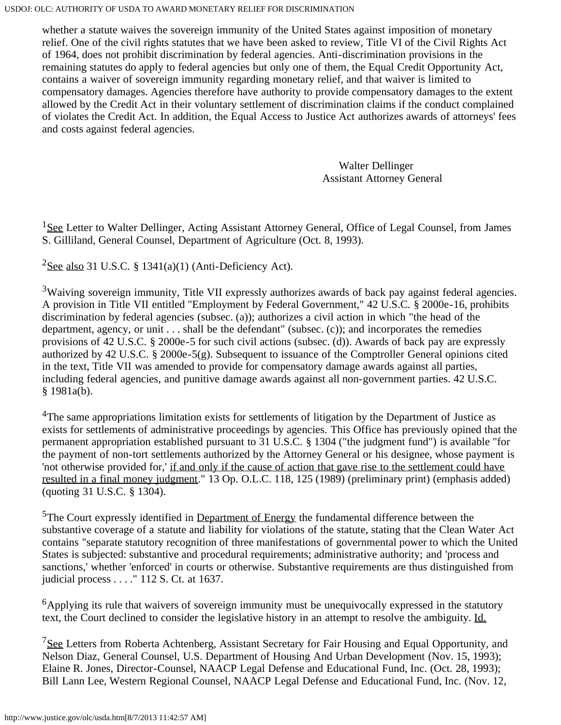whether a statute waives the sovereign immunity of the United States against imposition of monetary relief. One of the civil rights statutes that we have been asked to review, Title VI of the Civil Rights Act of 1964, does not prohibit discrimination by federal agencies. Anti-discrimination provisions in the remaining statutes do apply to federal agencies but only one of them, the Equal Credit Opportunity Act, contains a waiver of sovereign immunity regarding monetary relief, and that waiver is limited to compensatory damages. Agencies therefore have authority to provide compensatory damages to the extent allowed by the Credit Act in their voluntary settlement of discrimination claims if the conduct complained of violates the Credit Act. In addition, the Equal Access to Justice Act authorizes awards of attorneys' fees and costs against federal agencies.

> Walter Dellinger Assistant Attorney General

<span id="page-12-0"></span> $1$ See Letter to Walter Dellinger, Acting Assistant Attorney General, Office of Legal Counsel, from James S. Gilliland, General Counsel, Department of Agriculture (Oct. 8, 1993).

<span id="page-12-1"></span> $2$ See also 31 U.S.C. § 1341(a)(1) (Anti-Deficiency Act).

<span id="page-12-2"></span><sup>3</sup>Waiving sovereign immunity, Title VII expressly authorizes awards of back pay against federal agencies. A provision in Title VII entitled "Employment by Federal Government," 42 U.S.C. § 2000e-16, prohibits discrimination by federal agencies (subsec. (a)); authorizes a civil action in which "the head of the department, agency, or unit . . . shall be the defendant" (subsec. (c)); and incorporates the remedies provisions of 42 U.S.C. § 2000e-5 for such civil actions (subsec. (d)). Awards of back pay are expressly authorized by 42 U.S.C. § 2000e-5(g). Subsequent to issuance of the Comptroller General opinions cited in the text, Title VII was amended to provide for compensatory damage awards against all parties, including federal agencies, and punitive damage awards against all non-government parties. 42 U.S.C. § 1981a(b).

<span id="page-12-3"></span><sup>4</sup>The same appropriations limitation exists for settlements of litigation by the Department of Justice as exists for settlements of administrative proceedings by agencies. This Office has previously opined that the permanent appropriation established pursuant to 31 U.S.C. § 1304 ("the judgment fund") is available "for the payment of non-tort settlements authorized by the Attorney General or his designee, whose payment is 'not otherwise provided for,' if and only if the cause of action that gave rise to the settlement could have resulted in a final money judgment." 13 Op. O.L.C. 118, 125 (1989) (preliminary print) (emphasis added) (quoting 31 U.S.C. § 1304).

<span id="page-12-4"></span><sup>5</sup>The Court expressly identified in <u>Department of Energy</u> the fundamental difference between the substantive coverage of a statute and liability for violations of the statute, stating that the Clean Water Act contains "separate statutory recognition of three manifestations of governmental power to which the United States is subjected: substantive and procedural requirements; administrative authority; and 'process and sanctions,' whether 'enforced' in courts or otherwise. Substantive requirements are thus distinguished from judicial process . . . ." 112 S. Ct. at 1637.

<span id="page-12-5"></span> $<sup>6</sup>$ Applying its rule that waivers of sovereign immunity must be unequivocally expressed in the statutory</sup> text, the Court declined to consider the legislative history in an attempt to resolve the ambiguity. Id.

<span id="page-12-6"></span><sup>7</sup>See Letters from Roberta Achtenberg, Assistant Secretary for Fair Housing and Equal Opportunity, and Nelson Diaz, General Counsel, U.S. Department of Housing And Urban Development (Nov. 15, 1993); Elaine R. Jones, Director-Counsel, NAACP Legal Defense and Educational Fund, Inc. (Oct. 28, 1993); Bill Lann Lee, Western Regional Counsel, NAACP Legal Defense and Educational Fund, Inc. (Nov. 12,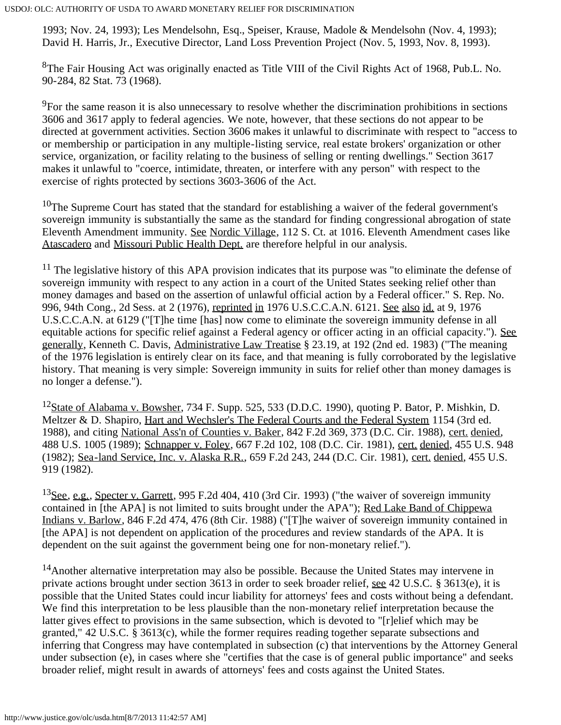1993; Nov. 24, 1993); Les Mendelsohn, Esq., Speiser, Krause, Madole & Mendelsohn (Nov. 4, 1993); David H. Harris, Jr., Executive Director, Land Loss Prevention Project (Nov. 5, 1993, Nov. 8, 1993).

<span id="page-13-0"></span>8The Fair Housing Act was originally enacted as Title VIII of the Civil Rights Act of 1968, Pub.L. No. 90-284, 82 Stat. 73 (1968).

<span id="page-13-1"></span><sup>9</sup>For the same reason it is also unnecessary to resolve whether the discrimination prohibitions in sections 3606 and 3617 apply to federal agencies. We note, however, that these sections do not appear to be directed at government activities. Section 3606 makes it unlawful to discriminate with respect to "access to or membership or participation in any multiple-listing service, real estate brokers' organization or other service, organization, or facility relating to the business of selling or renting dwellings." Section 3617 makes it unlawful to "coerce, intimidate, threaten, or interfere with any person" with respect to the exercise of rights protected by sections 3603-3606 of the Act.

<span id="page-13-2"></span> $10$ The Supreme Court has stated that the standard for establishing a waiver of the federal government's sovereign immunity is substantially the same as the standard for finding congressional abrogation of state Eleventh Amendment immunity. See Nordic Village, 112 S. Ct. at 1016. Eleventh Amendment cases like Atascadero and Missouri Public Health Dept. are therefore helpful in our analysis.

<span id="page-13-3"></span> $11$  The legislative history of this APA provision indicates that its purpose was "to eliminate the defense of sovereign immunity with respect to any action in a court of the United States seeking relief other than money damages and based on the assertion of unlawful official action by a Federal officer." S. Rep. No. 996, 94th Cong., 2d Sess. at 2 (1976), reprinted in 1976 U.S.C.C.A.N. 6121. See also id. at 9, 1976 U.S.C.C.A.N. at 6129 ("[T]he time [has] now come to eliminate the sovereign immunity defense in all equitable actions for specific relief against a Federal agency or officer acting in an official capacity."). See generally, Kenneth C. Davis, Administrative Law Treatise § 23.19, at 192 (2nd ed. 1983) ("The meaning of the 1976 legislation is entirely clear on its face, and that meaning is fully corroborated by the legislative history. That meaning is very simple: Sovereign immunity in suits for relief other than money damages is no longer a defense.").

<span id="page-13-4"></span><sup>12</sup>State of Alabama v. Bowsher, 734 F. Supp. 525, 533 (D.D.C. 1990), quoting P. Bator, P. Mishkin, D. Meltzer & D. Shapiro, Hart and Wechsler's The Federal Courts and the Federal System 1154 (3rd ed. 1988), and citing National Ass'n of Counties v. Baker, 842 F.2d 369, 373 (D.C. Cir. 1988), cert. denied, 488 U.S. 1005 (1989); Schnapper v. Foley, 667 F.2d 102, 108 (D.C. Cir. 1981), cert. denied, 455 U.S. 948 (1982); Sea-land Service, Inc. v. Alaska R.R., 659 F.2d 243, 244 (D.C. Cir. 1981), cert. denied, 455 U.S. 919 (1982).

<span id="page-13-5"></span><sup>13</sup>See, e.g., Specter v. Garrett, 995 F.2d 404, 410 (3rd Cir. 1993) ("the waiver of sovereign immunity contained in [the APA] is not limited to suits brought under the APA"); Red Lake Band of Chippewa Indians v. Barlow, 846 F.2d 474, 476 (8th Cir. 1988) ("[T]he waiver of sovereign immunity contained in [the APA] is not dependent on application of the procedures and review standards of the APA. It is dependent on the suit against the government being one for non-monetary relief.").

<span id="page-13-6"></span><sup>14</sup>Another alternative interpretation may also be possible. Because the United States may intervene in private actions brought under section 3613 in order to seek broader relief, see 42 U.S.C. § 3613(e), it is possible that the United States could incur liability for attorneys' fees and costs without being a defendant. We find this interpretation to be less plausible than the non-monetary relief interpretation because the latter gives effect to provisions in the same subsection, which is devoted to "[r]elief which may be granted," 42 U.S.C. § 3613(c), while the former requires reading together separate subsections and inferring that Congress may have contemplated in subsection (c) that interventions by the Attorney General under subsection (e), in cases where she "certifies that the case is of general public importance" and seeks broader relief, might result in awards of attorneys' fees and costs against the United States.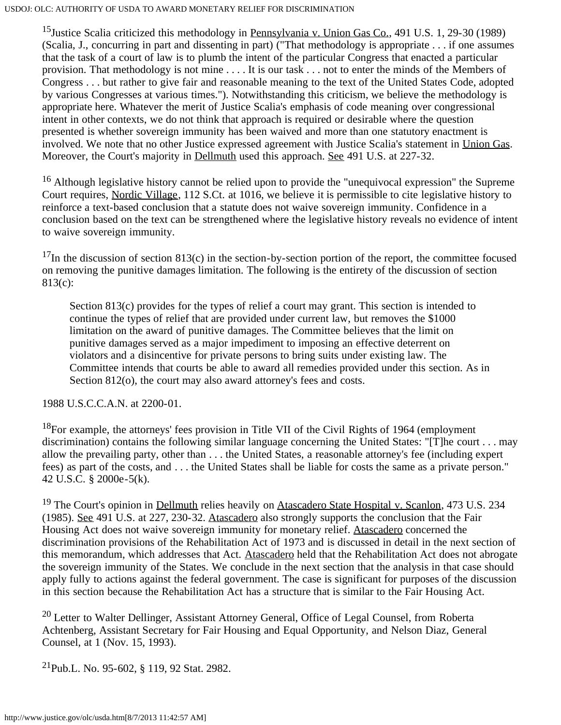<span id="page-14-0"></span><sup>15</sup>Justice Scalia criticized this methodology in Pennsylvania v. Union Gas Co., 491 U.S. 1, 29-30 (1989) (Scalia, J., concurring in part and dissenting in part) ("That methodology is appropriate . . . if one assumes that the task of a court of law is to plumb the intent of the particular Congress that enacted a particular provision. That methodology is not mine . . . . It is our task . . . not to enter the minds of the Members of Congress . . . but rather to give fair and reasonable meaning to the text of the United States Code, adopted by various Congresses at various times."). Notwithstanding this criticism, we believe the methodology is appropriate here. Whatever the merit of Justice Scalia's emphasis of code meaning over congressional intent in other contexts, we do not think that approach is required or desirable where the question presented is whether sovereign immunity has been waived and more than one statutory enactment is involved. We note that no other Justice expressed agreement with Justice Scalia's statement in Union Gas. Moreover, the Court's majority in Dellmuth used this approach. See 491 U.S. at 227-32.

<span id="page-14-1"></span><sup>16</sup> Although legislative history cannot be relied upon to provide the "unequivocal expression" the Supreme Court requires, Nordic Village, 112 S.Ct. at 1016, we believe it is permissible to cite legislative history to reinforce a text-based conclusion that a statute does not waive sovereign immunity. Confidence in a conclusion based on the text can be strengthened where the legislative history reveals no evidence of intent to waive sovereign immunity.

<span id="page-14-2"></span> $17$ In the discussion of section 813(c) in the section-by-section portion of the report, the committee focused on removing the punitive damages limitation. The following is the entirety of the discussion of section 813(c):

Section 813(c) provides for the types of relief a court may grant. This section is intended to continue the types of relief that are provided under current law, but removes the \$1000 limitation on the award of punitive damages. The Committee believes that the limit on punitive damages served as a major impediment to imposing an effective deterrent on violators and a disincentive for private persons to bring suits under existing law. The Committee intends that courts be able to award all remedies provided under this section. As in Section 812(o), the court may also award attorney's fees and costs.

1988 U.S.C.C.A.N. at 2200-01.

<span id="page-14-3"></span> $^{18}$ For example, the attorneys' fees provision in Title VII of the Civil Rights of 1964 (employment) discrimination) contains the following similar language concerning the United States: "[T]he court . . . may allow the prevailing party, other than . . . the United States, a reasonable attorney's fee (including expert fees) as part of the costs, and . . . the United States shall be liable for costs the same as a private person." 42 U.S.C. § 2000e-5(k).

<span id="page-14-4"></span><sup>19</sup> The Court's opinion in Dellmuth relies heavily on Atascadero State Hospital v. Scanlon, 473 U.S. 234 (1985). See 491 U.S. at 227, 230-32. Atascadero also strongly supports the conclusion that the Fair Housing Act does not waive sovereign immunity for monetary relief. Atascadero concerned the discrimination provisions of the Rehabilitation Act of 1973 and is discussed in detail in the next section of this memorandum, which addresses that Act. Atascadero held that the Rehabilitation Act does not abrogate the sovereign immunity of the States. We conclude in the next section that the analysis in that case should apply fully to actions against the federal government. The case is significant for purposes of the discussion in this section because the Rehabilitation Act has a structure that is similar to the Fair Housing Act.

<span id="page-14-5"></span><sup>20</sup> Letter to Walter Dellinger, Assistant Attorney General, Office of Legal Counsel, from Roberta Achtenberg, Assistant Secretary for Fair Housing and Equal Opportunity, and Nelson Diaz, General Counsel, at 1 (Nov. 15, 1993).

<span id="page-14-6"></span>21Pub.L. No. 95-602, § 119, 92 Stat. 2982.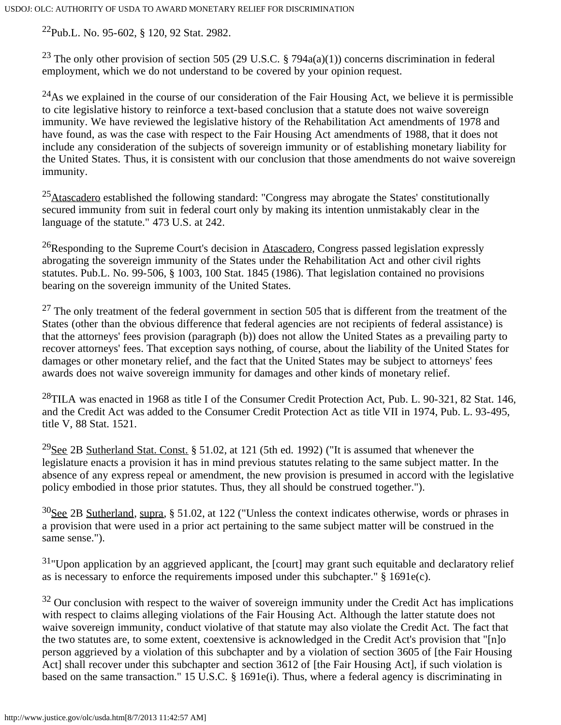<span id="page-15-0"></span>22Pub.L. No. 95-602, § 120, 92 Stat. 2982.

<span id="page-15-1"></span><sup>23</sup> The only other provision of section 505 (29 U.S.C. § 794a(a)(1)) concerns discrimination in federal employment, which we do not understand to be covered by your opinion request.

<span id="page-15-2"></span> $^{24}$ As we explained in the course of our consideration of the Fair Housing Act, we believe it is permissible to cite legislative history to reinforce a text-based conclusion that a statute does not waive sovereign immunity. We have reviewed the legislative history of the Rehabilitation Act amendments of 1978 and have found, as was the case with respect to the Fair Housing Act amendments of 1988, that it does not include any consideration of the subjects of sovereign immunity or of establishing monetary liability for the United States. Thus, it is consistent with our conclusion that those amendments do not waive sovereign immunity.

<span id="page-15-3"></span> $25$ Atascadero established the following standard: "Congress may abrogate the States' constitutionally secured immunity from suit in federal court only by making its intention unmistakably clear in the language of the statute." 473 U.S. at 242.

<span id="page-15-4"></span><sup>26</sup>Responding to the Supreme Court's decision in Atascadero, Congress passed legislation expressly abrogating the sovereign immunity of the States under the Rehabilitation Act and other civil rights statutes. Pub.L. No. 99-506, § 1003, 100 Stat. 1845 (1986). That legislation contained no provisions bearing on the sovereign immunity of the United States.

<span id="page-15-5"></span> $27$  The only treatment of the federal government in section 505 that is different from the treatment of the States (other than the obvious difference that federal agencies are not recipients of federal assistance) is that the attorneys' fees provision (paragraph (b)) does not allow the United States as a prevailing party to recover attorneys' fees. That exception says nothing, of course, about the liability of the United States for damages or other monetary relief, and the fact that the United States may be subject to attorneys' fees awards does not waive sovereign immunity for damages and other kinds of monetary relief.

<span id="page-15-6"></span> $^{28}$ TILA was enacted in 1968 as title I of the Consumer Credit Protection Act, Pub. L. 90-321, 82 Stat. 146, and the Credit Act was added to the Consumer Credit Protection Act as title VII in 1974, Pub. L. 93-495, title V, 88 Stat. 1521.

<span id="page-15-7"></span><sup>29</sup>See 2B Sutherland Stat. Const. § 51.02, at 121 (5th ed. 1992) ("It is assumed that whenever the legislature enacts a provision it has in mind previous statutes relating to the same subject matter. In the absence of any express repeal or amendment, the new provision is presumed in accord with the legislative policy embodied in those prior statutes. Thus, they all should be construed together.").

<span id="page-15-8"></span>30See 2B Sutherland, supra, § 51.02, at 122 ("Unless the context indicates otherwise, words or phrases in a provision that were used in a prior act pertaining to the same subject matter will be construed in the same sense.").

<span id="page-15-9"></span> $31$ "Upon application by an aggrieved applicant, the [court] may grant such equitable and declaratory relief as is necessary to enforce the requirements imposed under this subchapter." § 1691e(c).

<span id="page-15-10"></span> $32$  Our conclusion with respect to the waiver of sovereign immunity under the Credit Act has implications with respect to claims alleging violations of the Fair Housing Act. Although the latter statute does not waive sovereign immunity, conduct violative of that statute may also violate the Credit Act. The fact that the two statutes are, to some extent, coextensive is acknowledged in the Credit Act's provision that "[n]o person aggrieved by a violation of this subchapter and by a violation of section 3605 of [the Fair Housing Act] shall recover under this subchapter and section 3612 of [the Fair Housing Act], if such violation is based on the same transaction." 15 U.S.C. § 1691e(i). Thus, where a federal agency is discriminating in